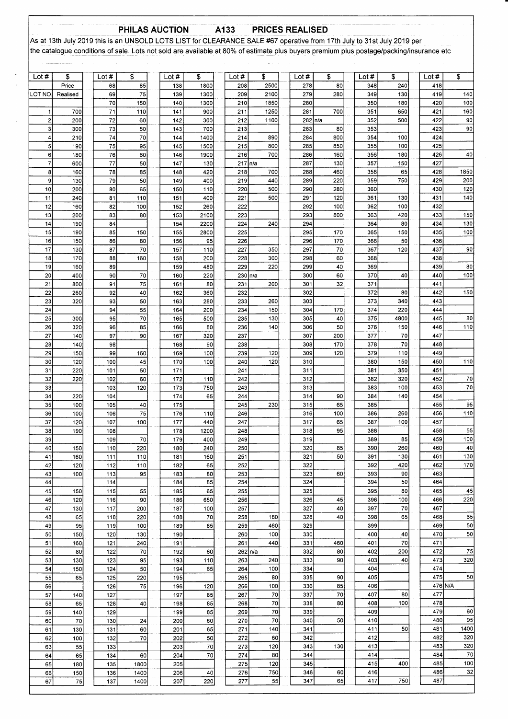### PHILAS AUCTION A133 **PRICES REALISED**

As at 13th July 2019 this is an UNSOLD LOTS LIST for CLEARANCE SALE #67 operative from 17th July to 31st July 2019 per the catalogue conditions of sale. Lots not sold are available at 80% of estimate plus buyers premium plus postage/packing/insurance etc

| Lot $#$                      | \$         | Lot #      | \$        | Lot #      | \$              | Lot $#$     | \$           | Lot#           | \$         | Lot #      | \$          | Lot #      | \$        |
|------------------------------|------------|------------|-----------|------------|-----------------|-------------|--------------|----------------|------------|------------|-------------|------------|-----------|
|                              | Price      | 68         | 85        | 138        | 1800            | 208         | 2500         | 278            | 80         | 348        | 240         | 418        |           |
| LOT NO                       | Realised   | 69         | 75        | 139        | 1300            | 209         | 2100         | 279            | 280        | 349        | 130         | 419        | 140       |
|                              |            | 70         | 150       | 140        | 1300            | 210         | 1850         | 280            |            | 350        | 180         | 420        | 100       |
| 1<br>$\overline{\mathbf{c}}$ | 700<br>200 | 71<br>72   | 110<br>60 | 141<br>142 | 900<br>300      | 211<br>212  | 1250<br>1100 | 281<br>282 n/a | 700        | 351<br>352 | 650<br>500  | 421<br>422 | 160<br>90 |
| 3                            | 300        | 73         | 50        | 143        | 700             | 213         |              | 283            | 80         | 353        |             | 423        | 90        |
| 4                            | 210        | 74         | 70        | 144        | 1400            | 214         | 890          | 284            | 800        | 354        | 100         | 424        |           |
| 5                            | 190        | 75         | 95        | 145        | 1500            | 215         | 800          | 285            | 850        | 355        | 100         | 425        |           |
| 6                            | 180        | 76         | 60        | 146        | 1900            | 216         | 700          | 286            | 160        | 356        | 180         | 426        | 40        |
| $\overline{7}$               | 600        | 77         | 50        | 147        | 130             | 217 n/a     |              | 287            | 130        | 357        | 150         | 427        |           |
| 8                            | 160        | 78         | 85        | 148        | 420             | 218         | 700          | 288            | 460        | 358        | 65          | 428        | 1850      |
| 9                            | 130        | 79         | 50        | 149        | 400             | 219         | 440          | 289            | 220        | 359        | 750         | 429        | 200       |
| 10                           | 200        | 80         | 65        | 150        | 110             | 220         | 500          | 290            | 280        | 360        |             | 430        | 120       |
| 11                           | 240        | 81         | 110       | 151        | 400             | 221         | 500          | 291            | 120        | 361        | 130         | 431        | 140       |
| 12<br>13                     | 160<br>200 | 82<br>83   | 100<br>80 | 152<br>153 | 260<br>2100     | 222<br>223  |              | 292<br>293     | 100<br>800 | 362<br>363 | 100<br>420  | 432<br>433 | 150       |
| 14                           | 190        | 84         |           | 154        | 2200            | 224         | 240          | 294            |            | 364        | 80          | 434        | 130       |
| 15                           | 190        | 85         | 150       | 155        | 2800            | 225         |              | 295            | 170        | 365        | 150         | 435        | 100       |
| 16                           | 150        | 86         | 80        | 156        | 95              | 226         |              | 296            | 170        | 366        | 50          | 436        |           |
| 17                           | 130        | 87         | 70        | 157        | 110             | 227         | 350          | 297            | 70         | 367        | 120         | 437        | 90        |
| 18                           | 170        | 88         | 160       | 158        | 200             | 228         | 300          | 298            | 60         | 368        |             | 438        |           |
| 19                           | 160        | 89         |           | 159        | 480             | 229         | 220          | 299            | 40         | 369        |             | 439        | 80        |
| 20                           | 400        | 90         | 70        | 160        | 220             | $230 \ln/a$ |              | 300            | 60         | 370        | 40          | 440        | 100       |
| 21                           | 800        | 91         | 75        | 161        | 80              | 231         | 200          | 301            | 32         | 371        |             | 441        |           |
| 22                           | 260        | 92         | 40        | 162        | 360             | 232         |              | 302            |            | 372        | 80          | 442        | 150       |
| 23                           | 320        | 93         | 50        | 163        | 280             | 233         | 260          | 303            |            | 373        | 340         | 443        |           |
| 24<br>25                     | 300        | 94<br>95   | 55<br>70  | 164<br>165 | 200<br>500      | 234<br>235  | 150<br>130   | 304<br>305     | 170<br>40  | 374<br>375 | 220<br>4800 | 444<br>445 | 80        |
| 26                           | 320        | 96         | 85        | 166        | 80              | 236         | 140          | 306            | 50         | 376        | 150         | 446        | 110       |
| 27                           | 140        | 97         | 90        | 167        | 320             | 237         |              | 307            | 200        | 377        | 70          | 447        |           |
| 28                           | 140        | 98         |           | 168        | 90              | 238         |              | 308            | 170        | 378        | 70          | 448        |           |
| 29                           | 150        | 99         | 160       | 169        | 100             | 239         | 120          | 309            | 120        | 379        | 110         | 449        |           |
| 30                           | 120        | 100        | 45        | 170        | 100             | 240         | 120          | 310            |            | 380        | 150         | 450        | 110       |
| 31                           | 220        | 101        | 50        | 171        |                 | 241         |              | 311            |            | 381        | 350         | 451        |           |
| 32                           | 220        | 102        | 60        | 172        | 110             | 242         |              | 312            |            | 382        | 320         | 452        | 70        |
| 33                           |            | 103        | 120       | 173        | 750             | 243         |              | 313            |            | 383        | 100         | 453        | 70        |
| 34<br>35                     | 220<br>100 | 104<br>105 |           | 174<br>175 | 65              | 244<br>245  | 230          | 314<br>315     | 90<br>65   | 384<br>385 | 140         | 454<br>455 | 95        |
| 36                           | 100        | 106        | 40<br>75  | 176        | 110             | 246         |              | 316            | 100        | 386        | 260         | 456        | 110       |
| 37                           | 120        | 107        | 100       | 177        | 440             | 247         |              | 317            | 65         | 387        | 100         | 457        |           |
| 38                           | 190        | 108        |           | 178        | 1200            | 248         |              | 318            | 95         | 388        |             | 458        | 55        |
| 39                           |            | 109        | 70        | 179        | 400             | 249         |              | 319            |            | 389        | 85          | 459        | 100       |
| 40                           | 150        | 110        | 220       | 180        | 240             | 250         |              | 320            | 85         | 390        | 260         | 460        | 40        |
| 41                           | 160        | 111        | 110       | 181        | 160             | 251         |              | 321            | 50         | 391        | 130         | 461        | 130       |
| 42                           | 120        | 112        | 110       | 182        | 65              | 252         |              | 322            |            | 392        | 420         | 462        | 170       |
| 43                           | 100        | 113        | 95        | 183        | 80              | 253         |              | 323            | 60         | 393        | 90          | 463        |           |
| 44                           |            | 114        |           | 184        | 85              | 254         |              | 324            |            | 394        | 50          | 464        | 45        |
| 45<br>46                     | 150<br>120 | 115<br>116 | 55<br>90  | 185<br>186 | 65<br>650       | 255<br>256  |              | 325<br>326     | 45         | 395<br>396 | 80<br>100   | 465<br>466 | 220       |
| 47                           | 130        | 117        | 200       | 187        | 100             | 257         |              | 327            | 40         | 397        | 70          | 467        |           |
| 48                           | 65         | 118        | 220       | 188        | 70              | 258         | 180          | 328            | 40         | 398        | 65          | 468        | 65        |
| 49                           | 95         | 119        | 100       | 189        | 85              | 259         | 460          | 329            |            | 399        |             | 469        | 50        |
| 50                           | 150        | 120        | 130       | 190        |                 | 260         | 100          | 330            |            | 400        | 40          | 470        | 50        |
| 51                           | 160        | 121        | 240       | 191        |                 | 261         | 440          | 331            | 460        | 401        | 70          | 471        |           |
| 52                           | 80         | 122        | 70        | 192        | 60              | 262 n/a     |              | 332            | 80         | 402        | 200         | 472        | 75        |
| 53                           | 130        | 123        | 95        | 193        | 110             | 263         | 240          | 333            | 90         | 403        | 40          | 473        | 320       |
| 54                           | 150        | 124        | 50        | 194        | 65              | 264         | 100          | 334            |            | 404        |             | 474<br>475 | 50        |
| 55                           | 65         | 125        | 220       | 195        |                 | 265         | 80           | 335<br>336     | 90<br>85   | 405<br>406 |             | 476 N/A    |           |
| 56<br>57                     | 140        | 126<br>127 | 75        | 196<br>197 | 120<br>85       | 266<br>267  | 100<br>70    | 337            | 70         | 407        | 80          | 477        |           |
| 58                           | 65         | 128        | 40        | 198        | 85              | 268         | 70           | 338            | 80         | 408        | 100         | 478        |           |
| 59                           | 140        | 129        |           | 199        | 85              | 269         | 70           | 339            |            | 409        |             | 479        | 60        |
| 60                           | 70         | 130        | 24        | 200        | 60              | 270         | 70           | 340            | 50         | 410        |             | 480        | 95        |
| 61                           | 130        | 131        | 60        | 201        | 65              | 271         | 140          | 341            |            | 411        | 50          | 481        | 1400      |
| 62                           | 100        | 132        | 70        | 202        | 50              | 272         | 60           | 342            |            | 412        |             | 482        | 320       |
| 63                           | 55         | 133        |           | 203        | $\overline{70}$ | 273         | 120          | 343            | 130        | 413        |             | 483        | 320       |
| 64                           | 65         | 134        | 60        | 204        | 70              | 274         | 80           | 344            |            | 414        |             | 484        | 70        |
| 65                           | 180        | 135        | 1800      | 205        |                 | 275         | 120          | 345            |            | 415        | 400         | 485        | 100       |
| 66                           | 150        | 136        | 1400      | 206        | 40              | 276         | 750          | 346<br>347     | 60         | 416<br>417 | 750         | 486<br>487 | 32        |
| 67                           | 75         | 137        | 1400      | 207        | 220             | 277         | 55           |                | 65         |            |             |            |           |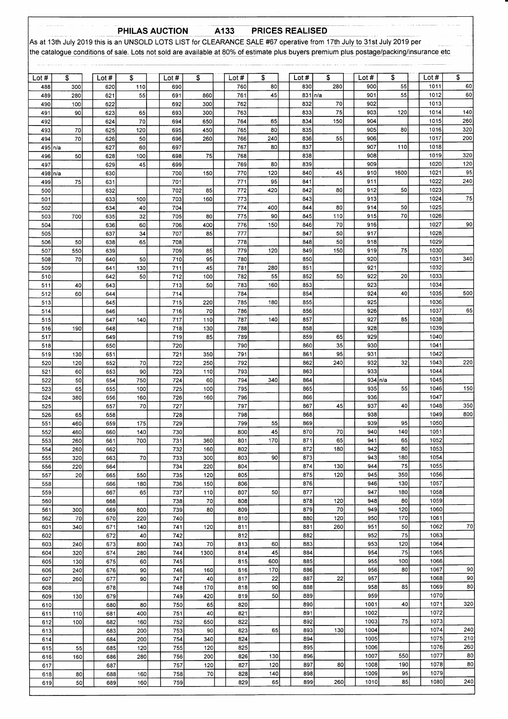## PHILAS AUCTION

**PRICES REALISED** 

As at 13th July 2019 this is an UNSOLD LOTS LIST for CLEARANCE SALE #67 operative from 17th July to 31st July 2019 per the catalogue conditions of sale. Lots not sold are available at 80% of estimate plus buyers premium plus postage/packing/insurance etc

A133

| Lot $#$    | \$   | Lot $#$    | \$         | Lot $#$    | \$         | Lot#       | \$        | Lot $#$    | \$         | Lot $#$    | \$        | Lot $#$          | \$        |
|------------|------|------------|------------|------------|------------|------------|-----------|------------|------------|------------|-----------|------------------|-----------|
| 488        | 300  | 620        | 110        | 690        |            | 760        | 80        | 830        | 280        | 900        | 55        | 1011             | 60        |
| 489        | 280  | 621        | 55         | 691        | 860        | 761        | 45        |            | 831   n/a  | 901        | 55        | 1012             | 60        |
| 490        | 100  | 622        |            | 692        | 300        | 762        |           | 832        | 70         | 902        |           | 1013             |           |
| 491        | 90   | 623        | 65         | 693        | 300        | 763        |           | 833        | 75         | 903        | 120       | 1014             | 140       |
| 492        |      | 624        | 70         | 694        | 650        | 764        | 65        | 834        | 150        | 904        |           | 1015             | 260       |
| 493        | 70   | 625        | 120        | 695        | 450        | 765        | 80        | 835        |            | 905        | 80        | 1016             | 320       |
| 494        | 70   | 626        | 50         | 696        | 260        | 766        | 240       | 836        | 55         | 906        |           | 1017             | 200       |
| 495        | In/a | 627        | 60         | 697        |            | 767        | 80        | 837        |            | 907        | 110       | 1018             |           |
| 496        | 50   | 628        | 100        | 698        | 75         | 768        |           | 838        |            | 908        |           | 1019             | 320       |
| 497        |      | 629        | 45         | 699        |            | 769        | 80        | 839        |            | 909        |           | 1020             | 120<br>95 |
| 498 n/a    |      | 630        |            | 700        | 150        | 770        | 120       | 840        | 45         | 910<br>911 | 1600      | 1021<br>1022     | 240       |
| 499        | 75   | 631        |            | 701        |            | 771<br>772 | 95<br>420 | 841        | 80         | 912        | 50        | 1023             |           |
| 500<br>501 |      | 632        |            | 702<br>703 | 85<br>160  | 773        |           | 842<br>843 |            | 913        |           | 1024             | 75        |
| 502        |      | 633<br>634 | 100<br>40  | 704        |            | 774        | 400       | 844        | 80         | 914        | 50        | 1025             |           |
| 503        | 700  | 635        | 32         | 705        | 80         | 775        | 90        | 845        | 110        | 915        | 70        | 1026             |           |
| 504        |      | 636        | 60         | 706        | 400        | 776        | 150       | 846        | 70         | 916        |           | 1027             | 90        |
| 505        |      | 637        | 34         | 707        | 85         | 777        |           | 847        | 50         | 917        |           | 1028             |           |
| 506        | 50   | 638        | 65         | 708        |            | 778        |           | 848        | 50         | 918        |           | 1029             |           |
| 507        | 550  | 639        |            | 709        | 85         | 779        | 120       | 849        | 150        | 919        | 75        | 1030             |           |
| 508        | 70   | 640        | 50         | 710        | 95         | 780        |           | 850        |            | 920        |           | 1031             | 340       |
| 509        |      | 641        | 130        | 711        | 45         | 781        | 280       | 851        |            | 921        |           | 1032             |           |
| 510        |      | 642        | 50         | 712        | 100        | 782        | 55        | 852        | 50         | 922        | 20        | 1033             |           |
| 511        | 40   | 643        |            | 713        | 50         | 783        | 160       | 853        |            | 923        |           | 1034             |           |
| 512        | 60   | 644        |            | 714        |            | 784        |           | 854        |            | 924        | 40        | 1035             | 500       |
| 513        |      | 645        |            | 715        | 220        | 785        | 180       | 855        |            | 925        |           | 1036             |           |
| 514        |      | 646        |            | 716        | 70         | 786        |           | 856        |            | 926        |           | 1037             | 65        |
| 515        |      | 647        | 140        | 717        | 110        | 787        | 140       | 857        |            | 927        | 85        | 1038             |           |
| 516        | 190  | 648        |            | 718        | 130        | 788        |           | 858        |            | 928        |           | 1039             |           |
| 517        |      | 649        |            | 719        | 85         | 789        |           | 859        | 65         | 929        |           | 1040             |           |
| 518        |      | 650        |            | 720        |            | 790        |           | 860        | 35         | 930        |           | 1041             |           |
| 519        | 130  | 651        |            | 721        | 350        | 791        |           | 861        | 95         | 931        |           | 1042             |           |
| 520        | 120  | 652        | 70         | 722        | 250        | 792        |           | 862        | 240        | 932        | 32        | 1043             | 220       |
| 521        | 60   | 653        | 90         | 723        | 110        | 793        |           | 863        |            | 933        |           | 1044             |           |
| 522        | 50   | 654        | 750        | 724        | 60         | 794        | 340       | 864        |            |            | 934 n/a   | 1045             |           |
| 523        | 65   | 655        | 100        | 725        | 100        | 795        |           | 865        |            | 935        | 55        | 1046             | 150       |
| 524        | 380  | 656        | 160        | 726        | 160        | 796        |           | 866        |            | 936        |           | 1047             |           |
| 525        |      | 657        | 70         | 727        |            | 797        |           | 867        | 45         | 937        | 40        | 1048             | 350       |
| 526        | 65   | 658        |            | 728        |            | 798        |           | 868        |            | 938        |           | 1049             | 800       |
| 551        | 460  | 659        | 175        | 729        |            | 799        | 55        | 869        |            | 939        | 95        | 1050             |           |
| 552        | 460  | 660        | 140        | 730        |            | 800        | 45        | 870        | 70         | 940        | 140       | 105 <sup>2</sup> |           |
| 553        | 260  | 661        | 700        | 731        | 360        | 801        | 170       | 871        | 65         | 941        | 65        | 1052             |           |
| 554        | 260  | 662        |            | 732        | 160        | 802        |           | 872        | 180        | 942        | 80        | 1053             |           |
| 555        | 320  | 663        | 70         | 733        | 300        | 803        | 90        | 873        |            | 943        | 180<br>75 | 1054             |           |
| 556        | 220  | 664        |            | 734        | 220        | 804        |           | 874<br>875 | 130<br>120 | 944<br>945 | 350       | 1055<br>1056     |           |
| 557<br>558 | 20   | 665        | 550<br>180 | 735<br>736 | 120<br>150 | 805<br>806 |           | 876        |            | 946        | 130       | 1057             |           |
|            |      | 666        |            |            |            |            | 50        | 877        |            | 947        | 180       | 1058             |           |
| 559<br>560 |      | 667<br>668 | 65         | 737<br>738 | 110<br>70  | 807<br>808 |           | 878        | 120        | 948        | 80        | 1059             |           |
| 561        | 300  | 669        | 800        | 739        | 80         | 809        |           | 879        | 70         | 949        | 120       | 1060             |           |
| 562        | 70   | 670        | 220        | 740        |            | 810        |           | 880        | 120        | 950        | 170       | 1061             |           |
| 601        | 340  | 671        | 140        | 741        | 120        | 811        |           | 881        | 260        | 951        | 50        | 1062             | $70\,$    |
| 602        |      | 672        | 40         | 742        |            | 812        |           | 882        |            | 952        | 75        | 1063             |           |
| 603        | 240  | 673        | 800        | 743        | 70         | 813        | 60        | 883        |            | 953        | 120       | 1064             |           |
| 604        | 320  | 674        | 280        | 744        | 1300       | 814        | 45        | 884        |            | 954        | 75        | 1065             |           |
| 605        | 130  | 675        | 60         | 745        |            | 815        | 600       | 885        |            | 955        | 100       | 1066             |           |
| 606        | 240  | 676        | 90         | 746        | 160        | 816        | 170       | 886        |            | 956        | 80        | 1067             | 90        |
| 607        | 260  | 677        | 90         | 747        | 40         | 817        | 22        | 887        | 22         | 957        |           | 1068             | 90        |
| 608        |      | 678        |            | 748        | 170        | 818        | 90        | 888        |            | 958        | 85        | 1069             | 80        |
| 609        | 130  | 679        |            | 749        | 420        | 819        | 50        | 889        |            | 959        |           | 1070             |           |
| 610        |      | 680        | 80         | 750        | 65         | 820        |           | 890        |            | 1001       | 40        | 1071             | 320       |
| 611        | 110  | 681        | 400        | 751        | 40         | 821        |           | 891        |            | 1002       |           | 1072             |           |
| 612        | 100  | 682        | 160        | 752        | 650        | 822        |           | 892        |            | 1003       | 75        | 1073             |           |
| 613        |      | 683        | 200        | 753        | 90         | 823        | 65        | 893        | 130        | 1004       |           | 1074             | 240       |
| 614        |      | 684        | 200        | 754        | 340        | 824        |           | 894        |            | 1005       |           | 1075             | 210       |
| 615        | 55   | 685        | 120        | 755        | 120        | 825        |           | 895        |            | 1006       |           | 1076             | 260       |
| 616        | 160  | 686        | 280        | 756        | 200        | 826        | 130       | 896        |            | 1007       | 550       | 1077             | 80        |
| 617        |      | 687        |            | 757        | 120        | 827        | 120       | 897        | 80         | 1008       | 190       | 1078             | 80        |
| 618        | 80   | 688        | 160        | 758        | 70         | 828        | 140       | 898        |            | 1009       | 95        | 1079             |           |
| 619        | 50   | 689        | 160        | 759        |            | 829        | 65        | 899        | 260        | 1010       | 85        | 1080             | 240       |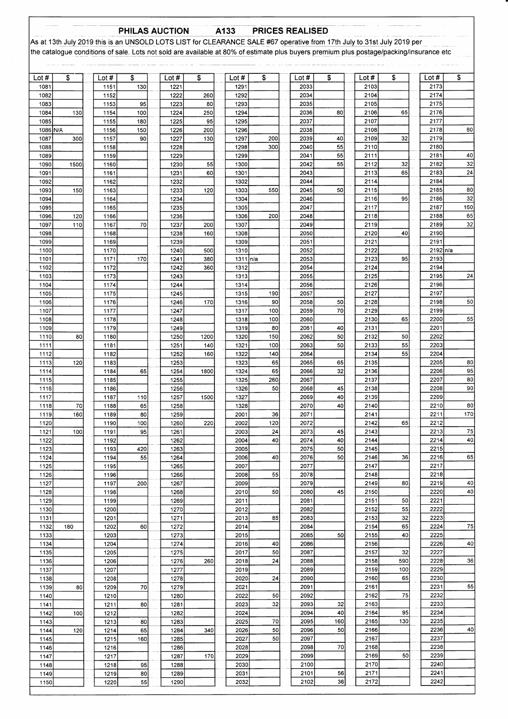### PHILAS AUCTION A133

**PRICES REALISED** 

As at 13th July 2019 this is an UNSOLD LOTS LIST for CLEARANCE SALE #67 operative from 17th July to 31st July 2019 per<br>the catalogue conditions of sale. Lots not sold are available at 80% of estimate plus buyers premium pl

| Lot $#$      | \$         | Lot $#$      | \$        | Lot #        | \$   | Lot #        | \$         | Lot #        | \$        | Lot #        | \$        | Lot #        | \$       |
|--------------|------------|--------------|-----------|--------------|------|--------------|------------|--------------|-----------|--------------|-----------|--------------|----------|
| 1081         |            | 1151         | 130       | 1221         |      | 129'         |            | 2033         |           | 2103         |           | 2173         |          |
| 1082         |            | 1152         |           | 1222         | 260  | 1292         |            | 2034         |           | 2104         |           | 2174         |          |
| 1083         |            | 1153         | 95        | 1223         | 80   | 1293         |            | 2035         |           | 2105         |           | 2175         |          |
| 1084         | 130        | 1154         | 100       | 1224         | 250  | 1294         |            | 2036         | 80        | 2106         | 65        | 2176         |          |
| 1085         |            | 1155         | 180       | 1225         | 95   | 1295         |            | 2037         |           | 2107         |           | 2177         |          |
| 1086 N/A     |            | 1156         | 150       | 1226         | 200  | 1296         |            | 2038         |           | 2108         |           | 2178         | 80       |
| 1087<br>1088 | 300        | 1157<br>1158 | 90        | 1227<br>1228 | 130  | 1297<br>1298 | 200<br>300 | 2039<br>2040 | 40<br>55  | 2109<br>2110 | 32        | 2179<br>2180 |          |
| 1089         |            | 1159         |           | 1229         |      | 1299         |            | 2041         | 55        | 2111         |           | 2181         | 40       |
| 1090         | 1500       | 1160         |           | 1230         | 55   | 1300         |            | 2042         | 55        | 2112         | 32        | 2182         | 32       |
| 1091         |            | 1161         |           | 1231         | 60   | 1301         |            | 2043         |           | 2113         | 65        | 2183         | 24       |
| 1092         |            | 1162         |           | 1232         |      | 1302         |            | 2044         |           | 2114         |           | 2184         |          |
| 1093         | 150        | 1163         |           | 1233         | 120  | 1303         | 550        | 2045         | 50        | 2115         |           | 2185         | 80       |
| 1094         |            | 1164         |           | 1234         |      | 1304         |            | 2046         |           | 2116         | 95        | 2186         | 32       |
| 1095         |            | 1165         |           | 1235         |      | 1305         |            | 2047         |           | 2117         |           | 2187         | 160      |
| 1096<br>1097 | 120<br>110 | 1166<br>1167 | 70        | 1236<br>1237 | 200  | 1306<br>1307 | 200        | 2048<br>2049 |           | 2118<br>2119 |           | 2188<br>2189 | 65<br>32 |
| 1098         |            | 1168         |           | 1238         | 160  | 1308         |            | 2050         |           | 2120         | 40        | 2190         |          |
| 1099         |            | 1169         |           | 1239         |      | 1309         |            | 2051         |           | 2121         |           | 2191         |          |
| 1100         |            | 1170         |           | 1240         | 500  | 1310         |            | 2052         |           | 2122         |           | 2192 n/a     |          |
| 1101         |            | 1171         | 170       | 1241         | 380  | 1311 n/a     |            | 2053         |           | 2123         | 95        | 2193         |          |
| 1102         |            | 1172         |           | 1242         | 360  | 1312         |            | 2054         |           | 2124         |           | 2194         |          |
| 1103         |            | 1173         |           | 1243         |      | 1313         |            | 2055         |           | 2125         |           | 2195         | 24       |
| 1104<br>1105 |            | 1174<br>1175 |           | 1244<br>1245 |      | 1314<br>1315 | 190        | 2056<br>2057 |           | 2126<br>2127 |           | 2196<br>2197 |          |
| 1106         |            | 1176         |           | 1246         | 170  | 1316         | 90         | 2058         | 50        | 2128         |           | 2198         | 50       |
| 1107         |            | 1177         |           | 1247         |      | 1317         | 100        | 2059         | 70        | 2129         |           | 2199         |          |
| 1108         |            | 1178         |           | 1248         |      | 1318         | 100        | 2060         |           | 2130         | 65        | 2200         | 55       |
| 1109         |            | 1179         |           | 1249         |      | 1319         | 80         | 2061         | 40        | 2131         |           | 2201         |          |
| 1110         | 80         | 1180         |           | 1250         | 1200 | 1320         | 150        | 2062         | 50        | 2132         | 50        | 2202         |          |
| 1111         |            | 1181         |           | 1251         | 140  | 1321         | 100        | 2063         | 50        | 2133         | 55        | 2203         |          |
| 1112<br>1113 |            | 1182         |           | 1252<br>1253 | 160  | 1322<br>1323 | 140<br>65  | 2064<br>2065 |           | 2134<br>2135 | 55        | 2204<br>2205 | 80       |
| 1114         | 120        | 1183<br>1184 | 65        | 1254         | 1800 | 1324         | 65         | 2066         | 65<br>32  | 2136         |           | 2206         | 95       |
| 1115         |            | 1185         |           | 1255         |      | 1325         | 260        | 2067         |           | 2137         |           | 2207         | 80       |
| 1116         |            | 1186         |           | 1256         |      | 1326         | 50         | 2068         | 45        | 2138         |           | 2208         | 90       |
| 1117         |            | 1187         | 110       | 1257         | 1500 | 1327         |            | 2069         | 40        | 2139         |           | 2209         |          |
| 1118         | 70         | 1188         | 65        | 1258         |      | 1328         |            | 2070         | 40        | 2140         |           | 2210         | 80       |
| 1119         | 160        | 1189         | 80        | 1259         |      | 2001         | 36<br>120  | 2071         |           | 2141<br>2142 | 65        | 2211<br>2212 | 170      |
| 1120<br>1121 | 100        | 1190<br>1191 | 100<br>95 | 1260<br>1261 | 220  | 2002<br>2003 | 24         | 2072<br>2073 | 45        | 2143         |           | 2213         | 75       |
| 1122         |            | 1192         |           | 1262         |      | 2004         | 40         | 2074         | 40        | 2144         |           | 2214         | 40       |
| 1123         |            | 1193         | 420       | 1263         |      | 2005         |            | 2075         | 50        | 2145         |           | 2215         |          |
| 1124         |            | 1194         | 55        | 1264         |      | 2006         | 40         | 2076         | 50        | 2146         | 36        | 2216         | 65       |
| 1125         |            | 1195         |           | 1265         |      | 2007         |            | 2077         |           | 2147         |           | 2217         |          |
| 1126         |            | 1196         |           | 1266         |      | 2008         | 55         | 2078         |           | 2148         |           | 2218         |          |
| 1127         |            | 1197         | 200       | 1267         |      | 2009         |            | 2079         |           | 2149<br>2150 | 80        | 2219<br>2220 | 40<br>40 |
| 1128<br>1129 |            | 1198<br>1199 |           | 1268<br>1269 |      | 2010<br>2011 | 50         | 2080<br>2081 | 45        | 2151         | 50        | 2221         |          |
| 1130         |            | 1200         |           | 1270         |      | 2012         |            | 2082         |           | 2152         | 55        | 2222         |          |
| 1131         |            | 1201         |           | 1271         |      | 2013         | 85         | 2083         |           | 2153         | 32        | 2223         |          |
| 1132         | 180        | 1202         | 60        | 1272         |      | 2014         |            | 2084         |           | 2154         | 65        | 2224         | 75       |
| 1133         |            | 1203         |           | 1273         |      | 2015         |            | 2085         | 50        | 2155         | 40        | 2225         |          |
| 1134         |            | 1204         |           | 1274         |      | 2016         | 40         | 2086         |           | 2156         |           | 2226         | 40       |
| 1135<br>1136 |            | 1205<br>1206 |           | 1275<br>1276 | 260  | 2017<br>2018 | 50<br>24   | 2087<br>2088 |           | 2157<br>2158 | 32<br>590 | 2227<br>2228 | 36       |
| 1137         |            | 1207         |           | 1277         |      | 2019         |            | 2089         |           | 2159         | 100       | 2229         |          |
| 1138         |            | 1208         |           | 1278         |      | 2020         | 24         | 2090         |           | 2160         | 65        | 2230         |          |
| 1139         | 80         | 1209         | 70        | 1279         |      | 2021         |            | 2091         |           | 2161         |           | 2231         | 55       |
| 1140         |            | 1210         |           | 1280         |      | 2022         | 50         | 2092         |           | 2162         | 75        | 2232         |          |
| 1141         |            | 1211         | 80        | 1281         |      | 2023         | 32         | 2093         | 32        | 2163         |           | 2233         |          |
| 1142         | 100        | 1212         |           | 1282         |      | 2024         |            | 2094         | 40        | 2164         | 95        | 2234         |          |
| 1143<br>1144 | 120        | 1213<br>1214 | 80<br>65  | 1283<br>1284 | 340  | 2025<br>2026 | 70<br>50   | 2095<br>2096 | 160<br>50 | 2165<br>2166 | 130       | 2235<br>2236 | 40       |
| 1145         |            | 1215         | 160       | 1285         |      | 2027         | 50         | 2097         |           | 2167         |           | 2237         |          |
| 1146         |            | 1216         |           | 1286         |      | 2028         |            | 2098         | 70        | 2168         |           | 2238         |          |
| 1147         |            | 1217         |           | 1287         | 170  | 2029         |            | 2099         |           | 2169         | 50        | 2239         |          |
| 1148         |            | 1218         | 95        | 1288         |      | 2030         |            | 2100         |           | 2170         |           | 2240         |          |
| 1149         |            | 1219         | 80        | 1289         |      | 2031         |            | 2101         | 56        | 2171         |           | 2241         |          |
| 1150         |            | 1220         | 55        | 1290         |      | 2032         |            | 2102         | 36        | 2172         |           | 2242         |          |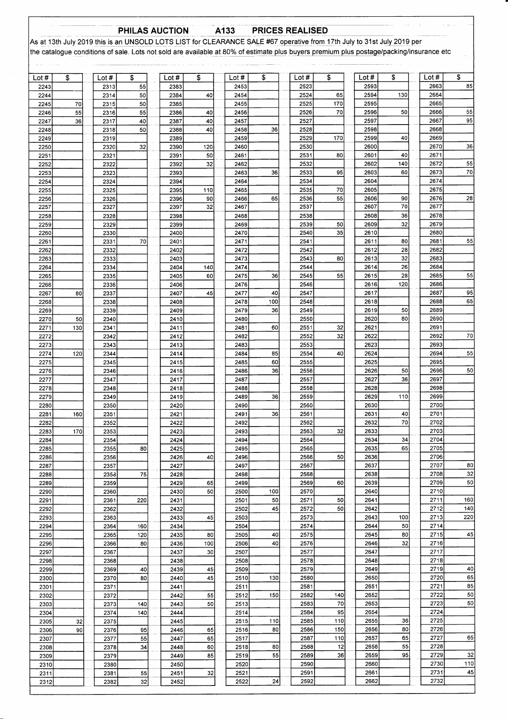PHILAS AUCTION A133 PRICES REALISED

As at 13th July 2019 this is an UNSOLD LOTS LIST for CLEARANCE SALE #67 operative from 17th July to 31st July 2019 per the catalogue conditions of sale. Lots not sold are available at 80% of estimate plus buyers premium plus postage/packing/insurance etc

| Lot $#$      | \$  | Lot $#$      | \$       | Lot $#$      | \$        | Lot #        | \$              | Lot #        | \$       | Lot #        | \$       | Lot #        | \$         |
|--------------|-----|--------------|----------|--------------|-----------|--------------|-----------------|--------------|----------|--------------|----------|--------------|------------|
| 2243<br>2244 |     | 2313<br>2314 | 55<br>50 | 2383<br>2384 | 40        | 2453<br>2454 |                 | 2523<br>2524 | 65       | 2593<br>2594 | 130      | 2663<br>2664 | 85         |
| 2245         | 70  | 2315         | 50       | 2385         |           | 2455         |                 | 2525         | 170      | 2595         |          | 2665         |            |
| 2246         | 55  | 2316         | 55       | 2386         | 40        | 2456         |                 | 2526         | 70       | 2596         | 50       | 2666         | 55         |
| 2247         | 36  | 2317         | 40       | 2387         | 40        | 2457         |                 | 2527         |          | 2597         |          | 2667         | 95         |
| 2248         |     | 2318         | 50       | 2388         | 40        | 2458         | 36              | 2528         |          | 2598         |          | 2668         |            |
| 2249<br>2250 |     | 2319<br>2320 | 32       | 2389<br>2390 | 120       | 2459<br>2460 |                 | 2529<br>2530 | 170      | 2599<br>2600 | 40       | 2669<br>2670 | 36         |
| 2251         |     | 2321         |          | 2391         | 50        | 2461         |                 | 2531         | 80       | 2601         | 40       | 2671         |            |
| 2252         |     | 2322         |          | 2392         | 32        | 2462         |                 | 2532         |          | 2602         | 140      | 2672         | 55         |
| 2253         |     | 2323         |          | 2393         |           | 2463         | 36              | 2533         | 95       | 2603         | 60       | 2673         | 70         |
| 2254         |     | 2324         |          | 2394         |           | 2464         |                 | 2534         |          | 2604         |          | 2674         |            |
| 2255         |     | 2325         |          | 2395         | 110<br>90 | 2465<br>2466 | 65              | 2535<br>2536 | 70<br>55 | 2605<br>2606 | 90       | 2675<br>2676 | 28         |
| 2256<br>2257 |     | 2326<br>2327 |          | 2396<br>2397 | 32        | 2467         |                 | 2537         |          | 2607         | 70       | 2677         |            |
| 2258         |     | 2328         |          | 2398         |           | 2468         |                 | 2538         |          | 2608         | 36       | 2678         |            |
| 2259         |     | 2329         |          | 2399         |           | 2469         |                 | 2539         | 50       | 2609         | 32       | 2679         |            |
| 2260         |     | 2330         |          | 2400         |           | 2470         |                 | 2540         | 35       | 2610         |          | 2680         |            |
| 2261         |     | 2331         | 70       | 2401         |           | 2471         |                 | 2541<br>2542 |          | 2611<br>2612 | 80<br>28 | 2681<br>2682 | 55         |
| 2262<br>2263 |     | 2332<br>2333 |          | 2402<br>2403 |           | 2472<br>2473 |                 | 2543         | 80       | 2613         | 32       | 2683         |            |
| 2264         |     | 2334         |          | 2404         | 140       | 2474         |                 | 2544         |          | 2614         | 26       | 2684         |            |
| 2265         |     | 2335         |          | 2405         | 60        | 2475         | 36              | 2545         | 55       | 2615         | 28       | 2685         | 55         |
| 2266         |     | 2336         |          | 2406         |           | 2476         |                 | 2546         |          | 2616         | 120      | 2686         |            |
| 2267         | 80  | 2337         |          | 2407         | 45        | 2477         | 40              | 2547         |          | 2617         |          | 2687         | 95<br>65   |
| 2268<br>2269 |     | 2338<br>2339 |          | 2408<br>2409 |           | 2478<br>2479 | 100<br>36       | 2548<br>2549 |          | 2618<br>2619 | 50       | 2688<br>2689 |            |
| 2270         | 50  | 2340         |          | 2410         |           | 2480         |                 | 2550         |          | 2620         | 80       | 2690         |            |
| 2271         | 130 | 2341         |          | 2411         |           | 2481         | 60              | 2551         | 32       | 2621         |          | 2691         |            |
| 2272         |     | 2342         |          | 2412         |           | 2482         |                 | 2552         | 32       | 2622         |          | 2692         | 70         |
| 2273         |     | 2343         |          | 2413         |           | 2483         |                 | 2553         |          | 2623         |          | 2693         |            |
| 2274<br>2275 | 120 | 2344<br>2345 |          | 2414<br>2415 |           | 2484<br>2485 | 85<br>60        | 2554<br>2555 | 40       | 2624<br>2625 |          | 2694<br>2695 | 55         |
| 2276         |     | 2346         |          | 2416         |           | 2486         | 36              | 2556         |          | 2626         | 50       | 2696         | 50         |
| 2277         |     | 2347         |          | 2417         |           | 2487         |                 | 2557         |          | 2627         | 36       | 2697         |            |
| 2278         |     | 2348         |          | 2418         |           | 2488         |                 | 2558         |          | 2628         |          | 2698         |            |
| 2279         |     | 2349         |          | 2419         |           | 2489         | 36              | 2559         |          | 2629         | 110      | 2699         |            |
| 2280<br>2281 | 160 | 2350<br>2351 |          | 2420<br>2421 |           | 2490<br>2491 | 36              | 2560<br>2561 |          | 2630<br>2631 | 40       | 2700<br>2701 |            |
| 2282         |     | 2352         |          | 2422         |           | 2492         |                 | 2562         |          | 2632         | 70       | 2702         |            |
| 2283         | 170 | 2353         |          | 2423         |           | 2493         |                 | 2563         | 32       | 2633         |          | 2703         |            |
| 2284         |     | 2354         |          | 2424         |           | 2494         |                 | 2564         |          | 2634         | 34       | 2704         |            |
| 2285         |     | 2355         | 80       | 2425         |           | 2495         |                 | 2565         |          | 2635         | 65       | 2705         |            |
| 2286<br>2287 |     | 2356<br>2357 |          | 2426<br>2427 | 40        | 2496<br>2497 |                 | 2566<br>2567 | 50       | 2636<br>2637 |          | 2706<br>2707 | 80         |
| 2288         |     | 2358         | 75       | 2428         |           | 2498         |                 | 2568         |          | 2638         |          | 2708         | 32         |
| 2289         |     | 2359         |          | 2429         | 65        | 2499         |                 | 2569         | 60       | 2639         |          | 2709         | 50         |
| 2290         |     | 2360         |          | 2430         | 50        | 2500         | 100             | 2570         |          | 2640         |          | 2710         |            |
| 2291         |     | 2361         | 220      | 2431         |           | 2501         | 50              | 2571         | 50       | 2641         |          | 2711         | 160        |
| 2292<br>2293 |     | 2362<br>2363 |          | 2432<br>2433 | 45        | 2502<br>2503 | 45              | 2572<br>2573 | 50       | 2642<br>2643 | 100      | 2712<br>2713 | 140<br>220 |
| 2294         |     | 2364         | 160      | 2434         |           | 2504         |                 | 2574         |          | 2644         | 50       | 2714         |            |
| 2295         |     | 2365         | 120      | 2435         | 80        | 2505         | 40              | 2575         |          | 2645         | 80       | 2715         | 45         |
| 2296         |     | 2366         | 80       | 2436         | 100       | 2506         | 40              | 2576         |          | 2646         | 32       | 2716         |            |
| 2297         |     | 2367         |          | 2437         | 30        | 2507         |                 | 2577         |          | 2647         |          | 2717         |            |
| 2298<br>2299 |     | 2368<br>2369 | 40       | 2438<br>2439 | 45        | 2508<br>2509 |                 | 2578<br>2579 |          | 2648<br>2649 |          | 2718<br>2719 | 40         |
| 2300         |     | 2370         | 80       | 2440         | 45        | 2510         | 130             | 2580         |          | 2650         |          | 2720         | 65         |
| 2301         |     | 2371         |          | 2441         |           | 2511         |                 | 2581         |          | 2651         |          | 2721         | 85         |
| 2302         |     | 2372         |          | 2442         | 55        | 2512         | 150             | 2582         | 140      | 2652         |          | 2722         | 50         |
| 2303         |     | 2373<br>2374 | 140      | 2443         | 50        | 2513<br>2514 |                 | 2583<br>2584 | 70<br>95 | 2653<br>2654 |          | 2723<br>2724 | 50         |
| 2304<br>2305 | 32  | 2375         | 140      | 2444<br>2445 |           | 2515         | 110             | 2585         | 110      | 2655         | 36       | 2725         |            |
| 2306         | 90  | 2376         | 95       | 2446         | 65        | 2516         | 80              | 2586         | 150      | 2656         | 80       | 2726         |            |
| 2307         |     | 2377         | 55       | 2447         | 65        | 2517         |                 | 2587         | 110      | 2657         | 65       | 2727         | 65         |
| 2308         |     | 2378         | 34       | 2448         | 60        | 2518         | 80              | 2588         | 12       | 2658         | 55       | 2728         |            |
| 2309         |     | 2379         |          | 2449         | 85        | 2519<br>2520 | 55              | 2589<br>2590 | 36       | 2659<br>2660 | 95       | 2729<br>2730 | 32<br>110  |
| 2310<br>2311 |     | 2380<br>2381 | 55       | 2450<br>2451 | 32        | 2521         |                 | 2591         |          | 2661         |          | 2731         | 45         |
| 2312         |     | 2382         | 32       | 2452         |           | 2522         | $\overline{24}$ | 2592         |          | 2662         |          | 2732         |            |
|              |     |              |          |              |           |              |                 |              |          |              |          |              |            |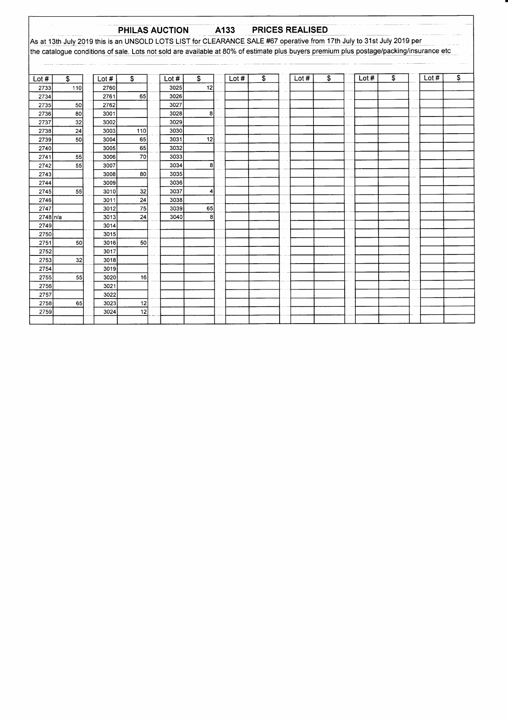### A133 **PRICES REALISED** PHILAS AUCTION As at 13th July 2019 this is an UNSOLD LOTS LIST for CLEARANCE SALE #67 operative from 17th July to 31st July 2019 per the catalogue conditions of sale. Lots not sold are available at 80% of estimate plus buyers premium plus postage/packing/insurance etc  $\overline{\text{Lot #}}$ Lot  $#$ Lot # Lot  $#$  $\overline{\mathbf{s}}$ Lot  $#$  $\overline{\mathcal{S}}$  $\overline{\mathbf{s}}$ Lot  $#$  $\overline{\$}$  $\bullet$ Lot #  $\overline{\mathfrak{s}}$  $\overline{\mathcal{E}}$  $\frac{1}{12}$  $\frac{1}{10}$  $\frac{1}{2739}$  $\overline{50}$  $-65$  $\overline{12}$  $\overline{55}$  $\overline{70}$  $\overline{2741}$  $\overline{\mathbf{8}}$  $\overline{80}$  $\overline{55}$  $\overline{32}$  $\overline{4}$  $\overline{24}$  $\overline{24}$  $\overline{\mathbf{8}}$ 2748 n/a  $\overline{50}$  $\overline{50}$  $\frac{1}{2753}$  $\overline{32}$  $\overline{55}$  $\overline{16}$  $\overline{65}$  $\overline{12}$